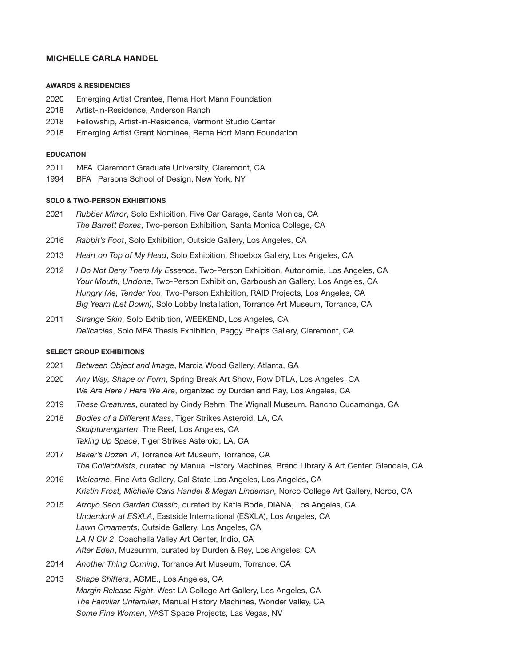## MICHELLE CARLA HANDEL

#### AWARDS & RESIDENCIES

- 2020 Emerging Artist Grantee, Rema Hort Mann Foundation
- 2018 Artist-in-Residence, Anderson Ranch
- 2018 Fellowship, Artist-in-Residence, Vermont Studio Center
- 2018 Emerging Artist Grant Nominee, Rema Hort Mann Foundation

#### EDUCATION

- 2011 MFA Claremont Graduate University, Claremont, CA
- 1994 BFA Parsons School of Design, New York, NY

### SOLO & TWO-PERSON EXHIBITIONS

- 2021 Rubber Mirror, Solo Exhibition, Five Car Garage, Santa Monica, CA The Barrett Boxes, Two-person Exhibition, Santa Monica College, CA
- 2016 Rabbit's Foot, Solo Exhibition, Outside Gallery, Los Angeles, CA
- 2013 Heart on Top of My Head, Solo Exhibition, Shoebox Gallery, Los Angeles, CA
- 2012 I Do Not Deny Them My Essence, Two-Person Exhibition, Autonomie, Los Angeles, CA Your Mouth, Undone, Two-Person Exhibition, Garboushian Gallery, Los Angeles, CA Hungry Me, Tender You, Two-Person Exhibition, RAID Projects, Los Angeles, CA Big Yearn (Let Down), Solo Lobby Installation, Torrance Art Museum, Torrance, CA
- 2011 Strange Skin, Solo Exhibition, WEEKEND, Los Angeles, CA Delicacies, Solo MFA Thesis Exhibition, Peggy Phelps Gallery, Claremont, CA

### SELECT GROUP EXHIBITIONS

- 2021 Between Object and Image, Marcia Wood Gallery, Atlanta, GA
- 2020 Any Way, Shape or Form, Spring Break Art Show, Row DTLA, Los Angeles, CA We Are Here / Here We Are, organized by Durden and Ray, Los Angeles, CA
- 2019 These Creatures, curated by Cindy Rehm, The Wignall Museum, Rancho Cucamonga, CA
- 2018 Bodies of a Different Mass, Tiger Strikes Asteroid, LA, CA Skulpturengarten, The Reef, Los Angeles, CA Taking Up Space, Tiger Strikes Asteroid, LA, CA
- 2017 Baker's Dozen VI, Torrance Art Museum, Torrance, CA The Collectivists, curated by Manual History Machines, Brand Library & Art Center, Glendale, CA
- 2016 Welcome, Fine Arts Gallery, Cal State Los Angeles, Los Angeles, CA Kristin Frost, Michelle Carla Handel & Megan Lindeman, Norco College Art Gallery, Norco, CA
- 2015 Arroyo Seco Garden Classic, curated by Katie Bode, DIANA, Los Angeles, CA Underdonk at ESXLA, Eastside International (ESXLA), Los Angeles, CA Lawn Ornaments, Outside Gallery, Los Angeles, CA LA N CV 2, Coachella Valley Art Center, Indio, CA After Eden, Muzeumm, curated by Durden & Rey, Los Angeles, CA
- 2014 Another Thing Coming, Torrance Art Museum, Torrance, CA
- 2013 Shape Shifters, ACME., Los Angeles, CA Margin Release Right, West LA College Art Gallery, Los Angeles, CA The Familiar Unfamiliar, Manual History Machines, Wonder Valley, CA Some Fine Women, VAST Space Projects, Las Vegas, NV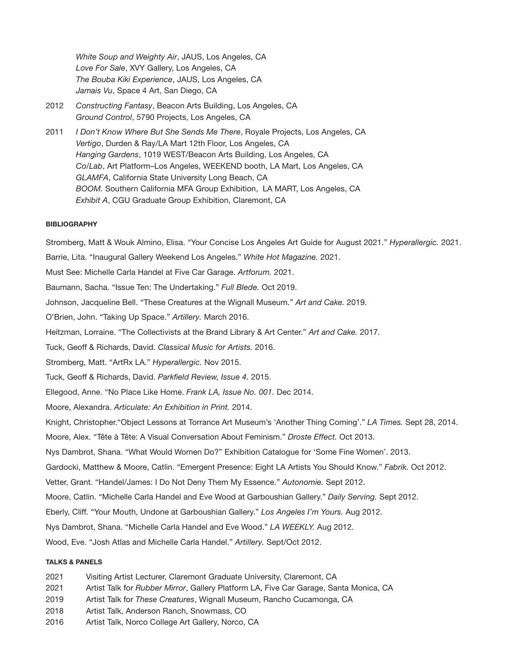White Soup and Weighty Air, JAUS, Los Angeles, CA Love For Sale, XVY Gallery, Los Angeles, CA The Bouba Kiki Experience, JAUS, Los Angeles, CA Jamais Vu, Space 4 Art, San Diego, CA

- 2012 Constructing Fantasy, Beacon Arts Building, Los Angeles, CA Ground Control, 5790 Projects, Los Angeles, CA
- 2011 I Don't Know Where But She Sends Me There, Royale Projects, Los Angeles, CA Vertigo, Durden & Ray/LA Mart 12th Floor, Los Angeles, CA Hanging Gardens, 1019 WEST/Beacon Arts Building, Los Angeles, CA Co/Lab, Art Platform–Los Angeles, WEEKEND booth, LA Mart, Los Angeles, CA GLAMFA, California State University Long Beach, CA BOOM. Southern California MFA Group Exhibition, LA MART, Los Angeles, CA Exhibit A, CGU Graduate Group Exhibition, Claremont, CA

## **BIBLIOGRAPHY**

Stromberg, Matt & Wouk Almino, Elisa. "Your Concise Los Angeles Art Guide for August 2021." Hyperallergic. 2021. Barrie, Lita. "Inaugural Gallery Weekend Los Angeles." White Hot Magazine. 2021. Must See: Michelle Carla Handel at Five Car Garage. Artforum. 2021. Baumann, Sacha. "Issue Ten: The Undertaking." Full Blede. Oct 2019. Johnson, Jacqueline Bell. "These Creatures at the Wignall Museum." Art and Cake. 2019. O'Brien, John. "Taking Up Space." Artillery. March 2016. Heitzman, Lorraine. "The Collectivists at the Brand Library & Art Center." Art and Cake. 2017. Tuck, Geoff & Richards, David. Classical Music for Artists. 2016. Stromberg, Matt. "ArtRx LA." Hyperallergic. Nov 2015. Tuck, Geoff & Richards, David. Parkfield Review, Issue 4. 2015. Ellegood, Anne. "No Place Like Home. Frank LA, Issue No. 001. Dec 2014. Moore, Alexandra. Articulate: An Exhibition in Print. 2014. Knight, Christopher."Object Lessons at Torrance Art Museum's 'Another Thing Coming'." LA Times. Sept 28, 2014. Moore, Alex. "Tête à Tête: A Visual Conversation About Feminism." Droste Effect. Oct 2013. Nys Dambrot, Shana. "What Would Women Do?" Exhibition Catalogue for 'Some Fine Women'. 2013. Gardocki, Matthew & Moore, Catlin. "Emergent Presence: Eight LA Artists You Should Know." Fabrik. Oct 2012. Vetter, Grant. "Handel/James: I Do Not Deny Them My Essence." Autonomie. Sept 2012. Moore, Catlin. "Michelle Carla Handel and Eve Wood at Garboushian Gallery." Daily Serving. Sept 2012. Eberly, Cliff. "Your Mouth, Undone at Garboushian Gallery." Los Angeles I'm Yours. Aug 2012. Nys Dambrot, Shana. "Michelle Carla Handel and Eve Wood." LA WEEKLY. Aug 2012. Wood, Eve. "Josh Atlas and Michelle Carla Handel." Artillery. Sept/Oct 2012.

### TALKS & PANELS

- 2021 Visiting Artist Lecturer, Claremont Graduate University, Claremont, CA
- 2021 Artist Talk for Rubber Mirror, Gallery Platform LA, Five Car Garage, Santa Monica, CA
- 2019 Artist Talk for These Creatures, Wignall Museum, Rancho Cucamonga, CA
- 2018 Artist Talk, Anderson Ranch, Snowmass, CO
- 2016 Artist Talk, Norco College Art Gallery, Norco, CA